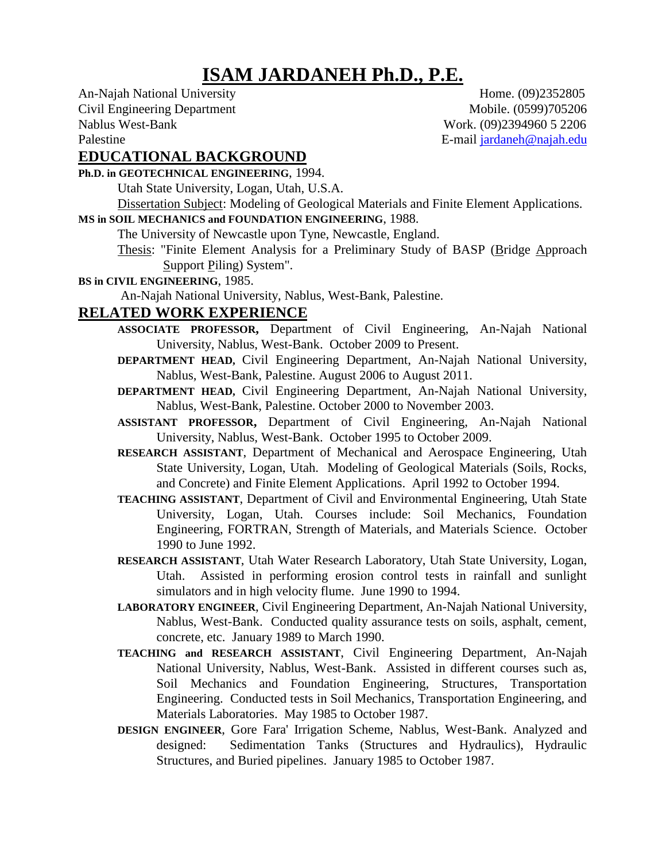# **ISAM JARDANEH Ph.D., P.E.**

An-Najah National University Home. (09)2352805 Civil Engineering Department Mobile. (0599)705206 Nablus West-Bank Work. (09)2394960 5 2206 Palestine E-mail jardaneh@najah.edu

### **EDUCATIONAL BACKGROUND**

#### **Ph.D. in GEOTECHNICAL ENGINEERING**, 1994.

Utah State University, Logan, Utah, U.S.A.

Dissertation Subject: Modeling of Geological Materials and Finite Element Applications.

## **MS in SOIL MECHANICS and FOUNDATION ENGINEERING**, 1988.

The University of Newcastle upon Tyne, Newcastle, England.

- Thesis: "Finite Element Analysis for a Preliminary Study of BASP (Bridge Approach Support Piling) System".
- **BS in CIVIL ENGINEERING**, 1985.

An-Najah National University, Nablus, West-Bank, Palestine.

#### **RELATED WORK EXPERIENCE**

- **ASSOCIATE PROFESSOR,** Department of Civil Engineering, An-Najah National University, Nablus, West-Bank. October 2009 to Present.
- **DEPARTMENT HEAD,** Civil Engineering Department, An-Najah National University, Nablus, West-Bank, Palestine. August 2006 to August 2011.
- **DEPARTMENT HEAD,** Civil Engineering Department, An-Najah National University, Nablus, West-Bank, Palestine. October 2000 to November 2003.
- **ASSISTANT PROFESSOR,** Department of Civil Engineering, An-Najah National University, Nablus, West-Bank. October 1995 to October 2009.
- **RESEARCH ASSISTANT**, Department of Mechanical and Aerospace Engineering, Utah State University, Logan, Utah. Modeling of Geological Materials (Soils, Rocks, and Concrete) and Finite Element Applications. April 1992 to October 1994.
- **TEACHING ASSISTANT**, Department of Civil and Environmental Engineering, Utah State University, Logan, Utah. Courses include: Soil Mechanics, Foundation Engineering, FORTRAN, Strength of Materials, and Materials Science. October 1990 to June 1992.
- **RESEARCH ASSISTANT**, Utah Water Research Laboratory, Utah State University, Logan, Utah. Assisted in performing erosion control tests in rainfall and sunlight simulators and in high velocity flume. June 1990 to 1994.
- **LABORATORY ENGINEER**, Civil Engineering Department, An-Najah National University, Nablus, West-Bank. Conducted quality assurance tests on soils, asphalt, cement, concrete, etc. January 1989 to March 1990.
- **TEACHING and RESEARCH ASSISTANT**, Civil Engineering Department, An-Najah National University, Nablus, West-Bank. Assisted in different courses such as, Soil Mechanics and Foundation Engineering, Structures, Transportation Engineering. Conducted tests in Soil Mechanics, Transportation Engineering, and Materials Laboratories. May 1985 to October 1987.
- **DESIGN ENGINEER**, Gore Fara' Irrigation Scheme, Nablus, West-Bank. Analyzed and designed: Sedimentation Tanks (Structures and Hydraulics), Hydraulic Structures, and Buried pipelines. January 1985 to October 1987.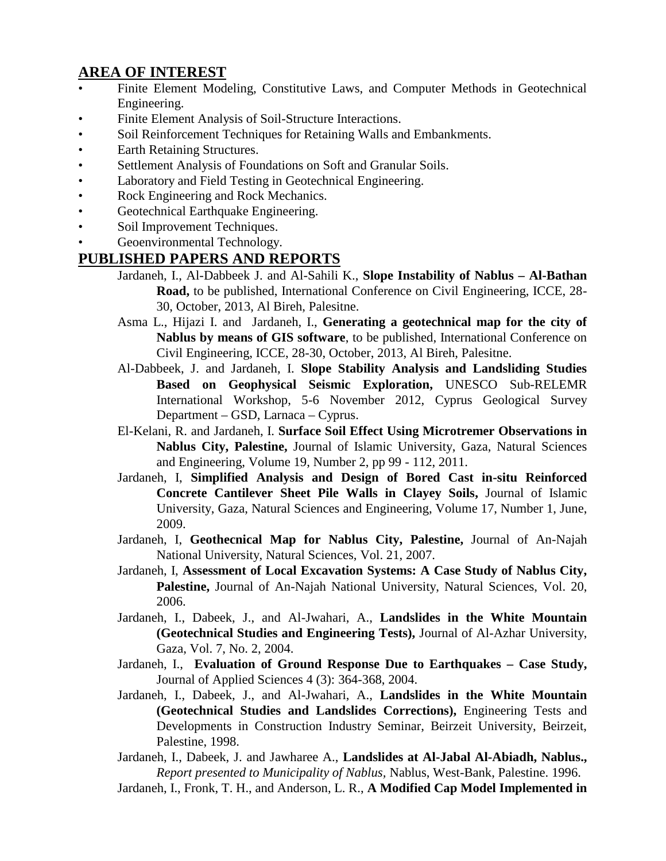### **AREA OF INTEREST**

- Finite Element Modeling, Constitutive Laws, and Computer Methods in Geotechnical Engineering.
- Finite Element Analysis of Soil-Structure Interactions.
- Soil Reinforcement Techniques for Retaining Walls and Embankments.
- Earth Retaining Structures.
- Settlement Analysis of Foundations on Soft and Granular Soils.
- Laboratory and Field Testing in Geotechnical Engineering.
- Rock Engineering and Rock Mechanics.
- Geotechnical Earthquake Engineering.
- Soil Improvement Techniques.
- Geoenvironmental Technology.

### **PUBLISHED PAPERS AND REPORTS**

- Jardaneh, I., Al-Dabbeek J. and Al-Sahili K., **Slope Instability of Nablus – Al-Bathan Road,** to be published, International Conference on Civil Engineering, ICCE, 28- 30, October, 2013, Al Bireh, Palesitne.
- Asma L., Hijazi I. and Jardaneh, I., **Generating a geotechnical map for the city of Nablus by means of GIS software**, to be published, International Conference on Civil Engineering, ICCE, 28-30, October, 2013, Al Bireh, Palesitne.
- Al-Dabbeek, J. and Jardaneh, I. **Slope Stability Analysis and Landsliding Studies Based on Geophysical Seismic Exploration,** UNESCO Sub-RELEMR International Workshop, 5-6 November 2012, Cyprus Geological Survey Department – GSD, Larnaca – Cyprus.
- El-Kelani, R. and Jardaneh, I. **Surface Soil Effect Using Microtremer Observations in Nablus City, Palestine,** Journal of Islamic University, Gaza, Natural Sciences and Engineering, Volume 19, Number 2, pp 99 - 112, 2011.
- Jardaneh, I, **Simplified Analysis and Design of Bored Cast in-situ Reinforced Concrete Cantilever Sheet Pile Walls in Clayey Soils,** Journal of Islamic University, Gaza, Natural Sciences and Engineering, Volume 17, Number 1, June, 2009.
- Jardaneh, I, **Geothecnical Map for Nablus City, Palestine,** Journal of An-Najah National University, Natural Sciences, Vol. 21, 2007.
- Jardaneh, I, **Assessment of Local Excavation Systems: A Case Study of Nablus City, Palestine,** Journal of An-Najah National University, Natural Sciences, Vol. 20, 2006.
- Jardaneh, I., Dabeek, J., and Al-Jwahari, A., **Landslides in the White Mountain (Geotechnical Studies and Engineering Tests),** Journal of Al-Azhar University, Gaza, Vol. 7, No. 2, 2004.
- Jardaneh, I., **Evaluation of Ground Response Due to Earthquakes – Case Study,** Journal of Applied Sciences 4 (3): 364-368, 2004.
- Jardaneh, I., Dabeek, J., and Al-Jwahari, A., **Landslides in the White Mountain (Geotechnical Studies and Landslides Corrections),** Engineering Tests and Developments in Construction Industry Seminar, Beirzeit University, Beirzeit, Palestine, 1998.
- Jardaneh, I., Dabeek, J. and Jawharee A., **Landslides at Al-Jabal Al-Abiadh, Nablus.,** *Report presented to Municipality of Nablus,* Nablus, West-Bank, Palestine. 1996.
- Jardaneh, I., Fronk, T. H., and Anderson, L. R., **A Modified Cap Model Implemented in**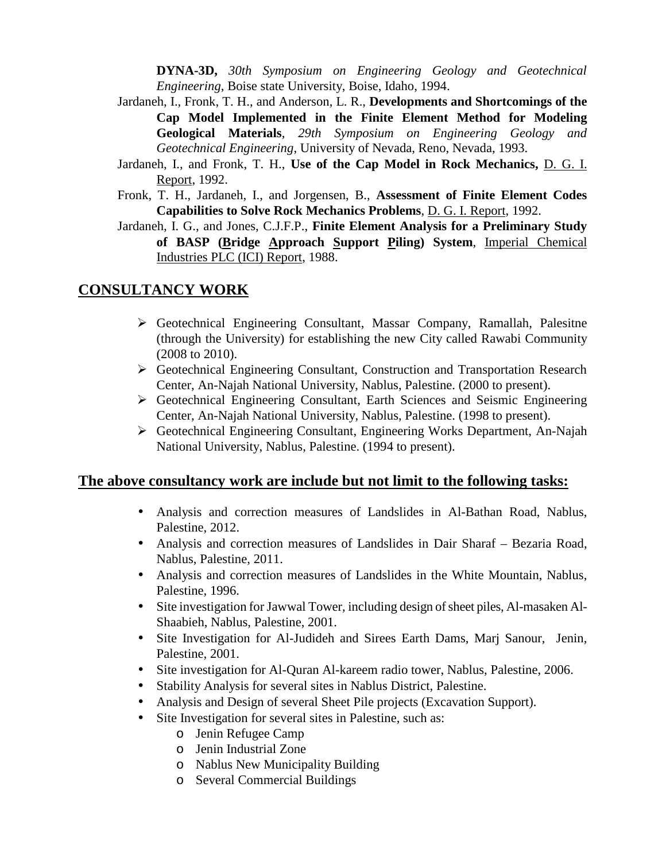**DYNA-3D,** *30th Symposium on Engineering Geology and Geotechnical Engineering*, Boise state University, Boise, Idaho, 1994.

- Jardaneh, I., Fronk, T. H., and Anderson, L. R., **Developments and Shortcomings of the Cap Model Implemented in the Finite Element Method for Modeling Geological Materials**, *29th Symposium on Engineering Geology and Geotechnical Engineering*, University of Nevada, Reno, Nevada, 1993.
- Jardaneh, I., and Fronk, T. H., **Use of the Cap Model in Rock Mechanics,** D. G. I. Report, 1992.
- Fronk, T. H., Jardaneh, I., and Jorgensen, B., **Assessment of Finite Element Codes Capabilities to Solve Rock Mechanics Problems**, D. G. I. Report, 1992.
- Jardaneh, I. G., and Jones, C.J.F.P., **Finite Element Analysis for a Preliminary Study of BASP (Bridge Approach Support Piling) System**, Imperial Chemical Industries PLC (ICI) Report, 1988.

#### **CONSULTANCY WORK**

- Geotechnical Engineering Consultant, Massar Company, Ramallah, Palesitne (through the University) for establishing the new City called Rawabi Community (2008 to 2010).
- Geotechnical Engineering Consultant, Construction and Transportation Research Center, An-Najah National University, Nablus, Palestine. (2000 to present).
- Geotechnical Engineering Consultant, Earth Sciences and Seismic Engineering Center, An-Najah National University, Nablus, Palestine. (1998 to present).
- Geotechnical Engineering Consultant, Engineering Works Department, An-Najah National University, Nablus, Palestine. (1994 to present).

#### **The above consultancy work are include but not limit to the following tasks:**

- Analysis and correction measures of Landslides in Al-Bathan Road, Nablus, Palestine, 2012.
- Analysis and correction measures of Landslides in Dair Sharaf Bezaria Road, Nablus, Palestine, 2011.
- Analysis and correction measures of Landslides in the White Mountain, Nablus, Palestine, 1996.
- Site investigation for Jawwal Tower, including design of sheet piles, Al-masaken Al- Shaabieh, Nablus, Palestine, 2001.
- Site Investigation for Al-Judideh and Sirees Earth Dams, Marj Sanour, Jenin, Palestine, 2001.
- Site investigation for Al-Quran Al-kareem radio tower, Nablus, Palestine, 2006.
- Stability Analysis for several sites in Nablus District, Palestine.
- Analysis and Design of several Sheet Pile projects (Excavation Support).
- Site Investigation for several sites in Palestine, such as:
	- o Jenin Refugee Camp
	- o Jenin Industrial Zone
	- o Nablus New Municipality Building
	- o Several Commercial Buildings